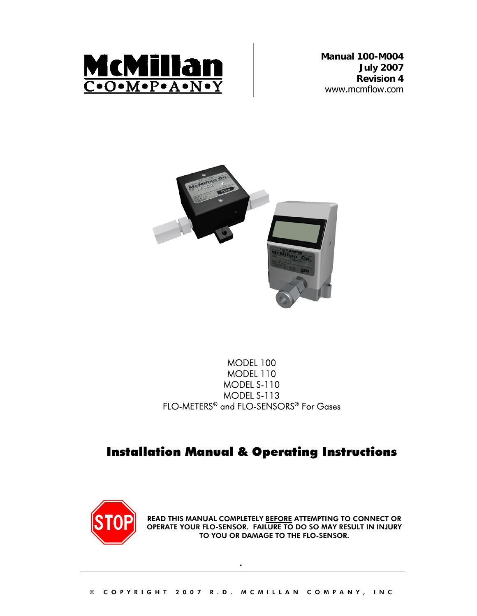

**Manual 100-M004 July 2007 Revision 4**  www.mcmflow.com



### MODEL 100 MODEL 110 MODEL S-110 MODEL S-113 FLO-METERS® and FLO-SENSORS® For Gases

## Installation Manual & Operating Instructions



READ THIS MANUAL COMPLETELY BEFORE ATTEMPTING TO CONNECT OR OPERATE YOUR FLO-SENSOR. FAILURE TO DO SO MAY RESULT IN INJURY TO YOU OR DAMAGE TO THE FLO-SENSOR.

.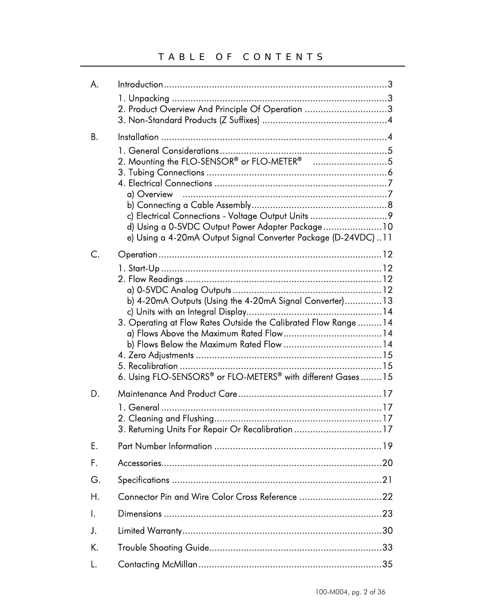| А. |                                                                                                                                                                                                                                                  |
|----|--------------------------------------------------------------------------------------------------------------------------------------------------------------------------------------------------------------------------------------------------|
|    | 2. Product Overview And Principle Of Operation 3                                                                                                                                                                                                 |
| Β. |                                                                                                                                                                                                                                                  |
|    | d) Using a 0-5VDC Output Power Adapter Package 10<br>e) Using a 4-20mA Output Signal Converter Package (D-24VDC)11                                                                                                                               |
| C. |                                                                                                                                                                                                                                                  |
| D. | b) 4-20mA Outputs (Using the 4-20mA Signal Converter) 13<br>3. Operating at Flow Rates Outside the Calibrated Flow Range  14<br>6. Using FLO-SENSORS® or FLO-METERS® with different Gases15<br>3. Returning Units For Repair Or Recalibration 17 |
| E. |                                                                                                                                                                                                                                                  |
| F. |                                                                                                                                                                                                                                                  |
| G. |                                                                                                                                                                                                                                                  |
| Η. |                                                                                                                                                                                                                                                  |
| Ι. |                                                                                                                                                                                                                                                  |
| J. |                                                                                                                                                                                                                                                  |
| K. |                                                                                                                                                                                                                                                  |
| L. |                                                                                                                                                                                                                                                  |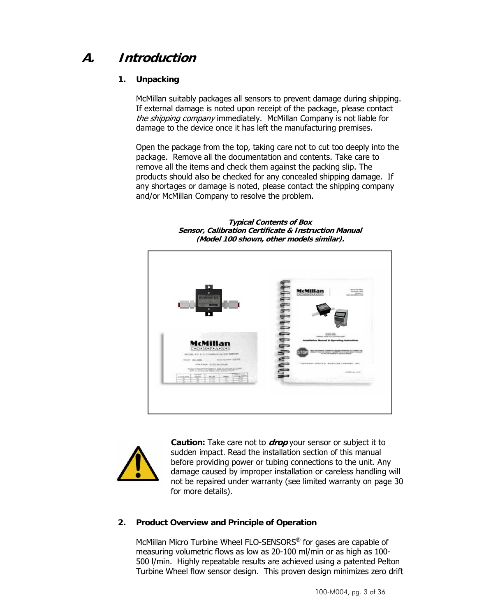## **A. Introduction**

### **1. Unpacking**

McMillan suitably packages all sensors to prevent damage during shipping. If external damage is noted upon receipt of the package, please contact the shipping company immediately. McMillan Company is not liable for damage to the device once it has left the manufacturing premises.

Open the package from the top, taking care not to cut too deeply into the package. Remove all the documentation and contents. Take care to remove all the items and check them against the packing slip. The products should also be checked for any concealed shipping damage. If any shortages or damage is noted, please contact the shipping company and/or McMillan Company to resolve the problem.



**Typical Contents of Box Sensor, Calibration Certificate & Instruction Manual (Model 100 shown, other models similar).** 



**Caution:** Take care not to **drop** your sensor or subject it to sudden impact. Read the installation section of this manual before providing power or tubing connections to the unit. Any damage caused by improper installation or careless handling will not be repaired under warranty (see limited warranty on page 30 for more details).

### **2. Product Overview and Principle of Operation**

McMillan Micro Turbine Wheel FLO-SENSORS® for gases are capable of measuring volumetric flows as low as 20-100 ml/min or as high as 100- 500 l/min. Highly repeatable results are achieved using a patented Pelton Turbine Wheel flow sensor design. This proven design minimizes zero drift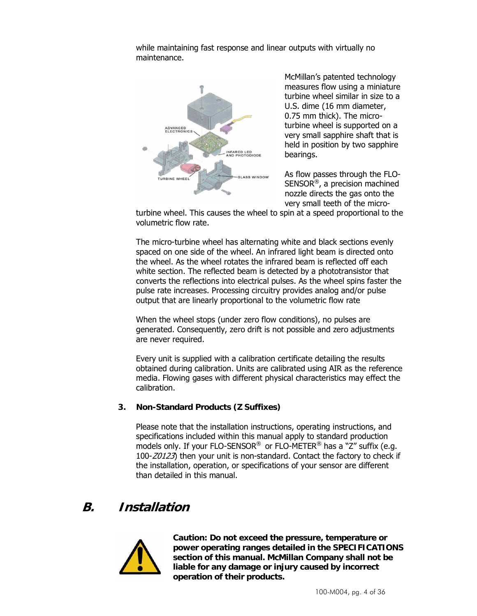while maintaining fast response and linear outputs with virtually no maintenance.



McMillan's patented technology measures flow using a miniature turbine wheel similar in size to a U.S. dime (16 mm diameter, 0.75 mm thick). The microturbine wheel is supported on a very small sapphire shaft that is held in position by two sapphire bearings.

As flow passes through the FLO-SENSOR®, a precision machined nozzle directs the gas onto the very small teeth of the micro-

turbine wheel. This causes the wheel to spin at a speed proportional to the volumetric flow rate.

The micro-turbine wheel has alternating white and black sections evenly spaced on one side of the wheel. An infrared light beam is directed onto the wheel. As the wheel rotates the infrared beam is reflected off each white section. The reflected beam is detected by a phototransistor that converts the reflections into electrical pulses. As the wheel spins faster the pulse rate increases. Processing circuitry provides analog and/or pulse output that are linearly proportional to the volumetric flow rate

When the wheel stops (under zero flow conditions), no pulses are generated. Consequently, zero drift is not possible and zero adjustments are never required.

Every unit is supplied with a calibration certificate detailing the results obtained during calibration. Units are calibrated using AIR as the reference media. Flowing gases with different physical characteristics may effect the calibration.

### **3. Non-Standard Products (Z Suffixes)**

Please note that the installation instructions, operating instructions, and specifications included within this manual apply to standard production models only. If your FLO-SENSOR® or FLO-METER® has a "Z" suffix (e.g. 100-Z0123) then your unit is non-standard. Contact the factory to check if the installation, operation, or specifications of your sensor are different than detailed in this manual.

### **B. Installation**



**Caution: Do not exceed the pressure, temperature or power operating ranges detailed in the SPECIFICATIONS section of this manual. McMillan Company shall not be liable for any damage or injury caused by incorrect operation of their products.**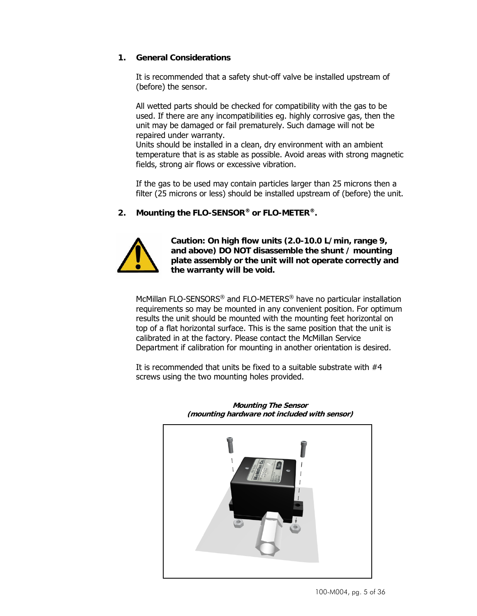#### **1. General Considerations**

It is recommended that a safety shut-off valve be installed upstream of (before) the sensor.

All wetted parts should be checked for compatibility with the gas to be used. If there are any incompatibilities eg. highly corrosive gas, then the unit may be damaged or fail prematurely. Such damage will not be repaired under warranty.

Units should be installed in a clean, dry environment with an ambient temperature that is as stable as possible. Avoid areas with strong magnetic fields, strong air flows or excessive vibration.

If the gas to be used may contain particles larger than 25 microns then a filter (25 microns or less) should be installed upstream of (before) the unit.

**2. Mounting the FLO-SENSOR® or FLO-METER®.** 



**Caution: On high flow units (2.0-10.0 L/min, range 9, and above) DO NOT disassemble the shunt / mounting plate assembly or the unit will not operate correctly and the warranty will be void.** 

McMillan FLO-SENSORS® and FLO-METERS® have no particular installation requirements so may be mounted in any convenient position. For optimum results the unit should be mounted with the mounting feet horizontal on top of a flat horizontal surface. This is the same position that the unit is calibrated in at the factory. Please contact the McMillan Service Department if calibration for mounting in another orientation is desired.

It is recommended that units be fixed to a suitable substrate with #4 screws using the two mounting holes provided.



**Mounting The Sensor (mounting hardware not included with sensor)**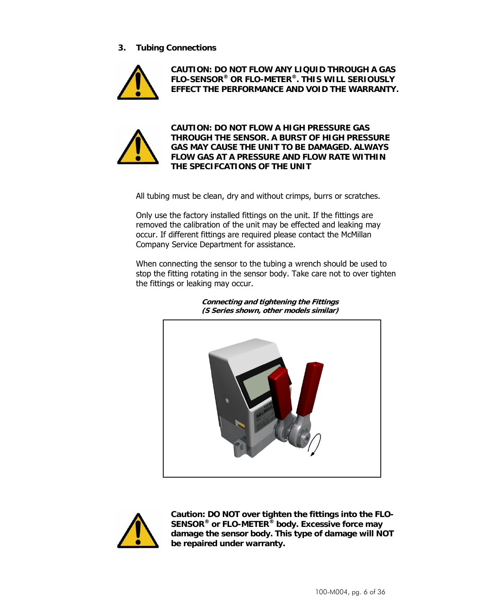**3. Tubing Connections** 



**CAUTION: DO NOT FLOW ANY LIQUID THROUGH A GAS FLO-SENSOR® OR FLO-METER®. THIS WILL SERIOUSLY EFFECT THE PERFORMANCE AND VOID THE WARRANTY.** 



**CAUTION: DO NOT FLOW A HIGH PRESSURE GAS THROUGH THE SENSOR. A BURST OF HIGH PRESSURE GAS MAY CAUSE THE UNIT TO BE DAMAGED. ALWAYS FLOW GAS AT A PRESSURE AND FLOW RATE WITHIN THE SPECIFCATIONS OF THE UNIT** 

All tubing must be clean, dry and without crimps, burrs or scratches.

Only use the factory installed fittings on the unit. If the fittings are removed the calibration of the unit may be effected and leaking may occur. If different fittings are required please contact the McMillan Company Service Department for assistance.

When connecting the sensor to the tubing a wrench should be used to stop the fitting rotating in the sensor body. Take care not to over tighten the fittings or leaking may occur.



**Connecting and tightening the Fittings (S Series shown, other models similar)** 



**Caution: DO NOT over tighten the fittings into the FLO-SENSOR® or FLO-METER® body. Excessive force may damage the sensor body. This type of damage will NOT be repaired under warranty.**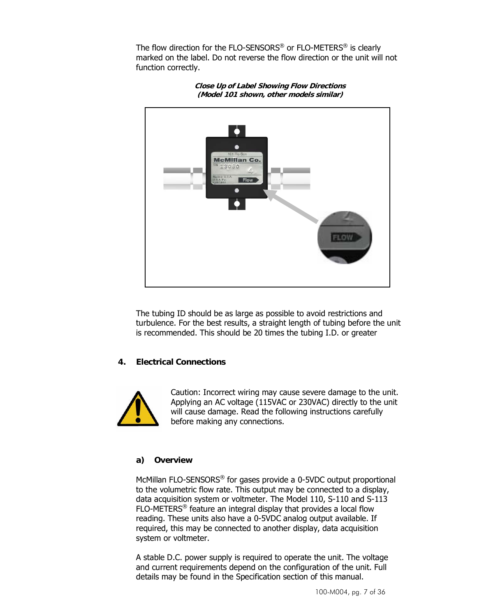The flow direction for the FLO-SENSORS<sup>®</sup> or FLO-METERS<sup>®</sup> is clearly marked on the label. Do not reverse the flow direction or the unit will not function correctly.



**Close Up of Label Showing Flow Directions (Model 101 shown, other models similar)** 

The tubing ID should be as large as possible to avoid restrictions and turbulence. For the best results, a straight length of tubing before the unit is recommended. This should be 20 times the tubing I.D. or greater

#### **4. Electrical Connections**



Caution: Incorrect wiring may cause severe damage to the unit. Applying an AC voltage (115VAC or 230VAC) directly to the unit will cause damage. Read the following instructions carefully before making any connections.

### **a) Overview**

McMillan FLO-SENSORS® for gases provide a 0-5VDC output proportional to the volumetric flow rate. This output may be connected to a display, data acquisition system or voltmeter. The Model 110, S-110 and S-113 FLO-METERS® feature an integral display that provides a local flow reading. These units also have a 0-5VDC analog output available. If required, this may be connected to another display, data acquisition system or voltmeter.

A stable D.C. power supply is required to operate the unit. The voltage and current requirements depend on the configuration of the unit. Full details may be found in the Specification section of this manual.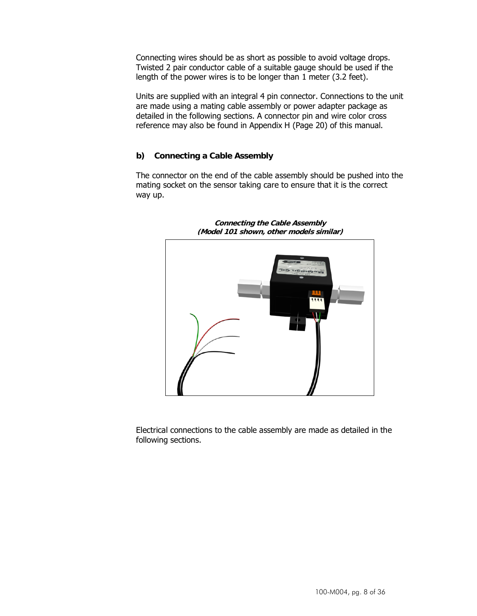Connecting wires should be as short as possible to avoid voltage drops. Twisted 2 pair conductor cable of a suitable gauge should be used if the length of the power wires is to be longer than 1 meter (3.2 feet).

Units are supplied with an integral 4 pin connector. Connections to the unit are made using a mating cable assembly or power adapter package as detailed in the following sections. A connector pin and wire color cross reference may also be found in Appendix H (Page 20) of this manual.

#### **b) Connecting a Cable Assembly**

The connector on the end of the cable assembly should be pushed into the mating socket on the sensor taking care to ensure that it is the correct way up.



**Connecting the Cable Assembly (Model 101 shown, other models similar)** 

Electrical connections to the cable assembly are made as detailed in the following sections.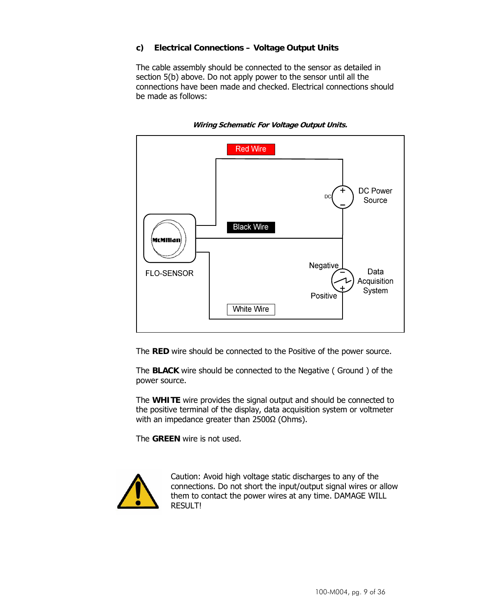### **c) Electrical Connections – Voltage Output Units**

The cable assembly should be connected to the sensor as detailed in section 5(b) above. Do not apply power to the sensor until all the connections have been made and checked. Electrical connections should be made as follows:



**Wiring Schematic For Voltage Output Units.** 

The **RED** wire should be connected to the Positive of the power source.

The **BLACK** wire should be connected to the Negative ( Ground ) of the power source.

The **WHITE** wire provides the signal output and should be connected to the positive terminal of the display, data acquisition system or voltmeter with an impedance greater than 2500Ω (Ohms).

The **GREEN** wire is not used.



Caution: Avoid high voltage static discharges to any of the connections. Do not short the input/output signal wires or allow them to contact the power wires at any time. DAMAGE WILL RESULT!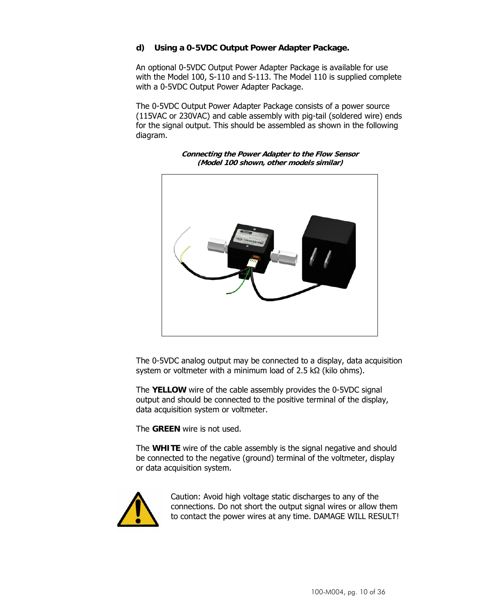### **d) Using a 0-5VDC Output Power Adapter Package.**

An optional 0-5VDC Output Power Adapter Package is available for use with the Model 100, S-110 and S-113. The Model 110 is supplied complete with a 0-5VDC Output Power Adapter Package.

The 0-5VDC Output Power Adapter Package consists of a power source (115VAC or 230VAC) and cable assembly with pig-tail (soldered wire) ends for the signal output. This should be assembled as shown in the following diagram.



**Connecting the Power Adapter to the Flow Sensor (Model 100 shown, other models similar)** 

The 0-5VDC analog output may be connected to a display, data acquisition system or voltmeter with a minimum load of 2.5 kΩ (kilo ohms).

The **YELLOW** wire of the cable assembly provides the 0-5VDC signal output and should be connected to the positive terminal of the display, data acquisition system or voltmeter.

The **GREEN** wire is not used.

The **WHITE** wire of the cable assembly is the signal negative and should be connected to the negative (ground) terminal of the voltmeter, display or data acquisition system.



Caution: Avoid high voltage static discharges to any of the connections. Do not short the output signal wires or allow them to contact the power wires at any time. DAMAGE WILL RESULT!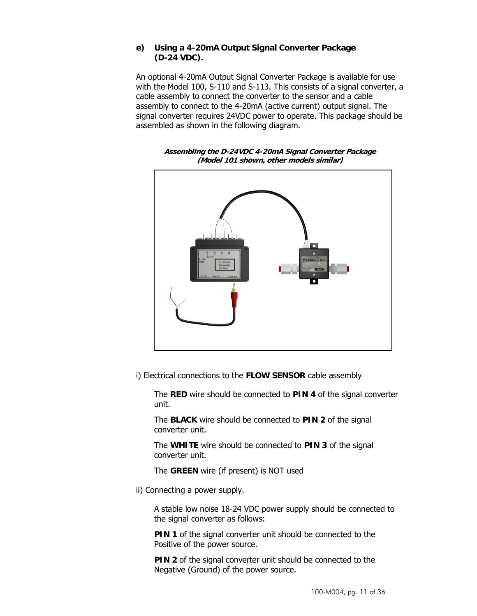#### **e) Using a 4-20mA Output Signal Converter Package (D-24 VDC).**

An optional 4-20mA Output Signal Converter Package is available for use with the Model 100, S-110 and S-113. This consists of a signal converter, a cable assembly to connect the converter to the sensor and a cable assembly to connect to the 4-20mA (active current) output signal. The signal converter requires 24VDC power to operate. This package should be assembled as shown in the following diagram.



**Assembling the D-24VDC 4-20mA Signal Converter Package (Model 101 shown, other models similar)** 

i) Electrical connections to the **FLOW SENSOR** cable assembly

The **RED** wire should be connected to **PIN 4** of the signal converter unit.

The **BLACK** wire should be connected to **PIN 2** of the signal converter unit.

The **WHITE** wire should be connected to **PIN 3** of the signal converter unit.

The **GREEN** wire (if present) is NOT used

ii) Connecting a power supply.

A stable low noise 18-24 VDC power supply should be connected to the signal converter as follows:

**PIN 1** of the signal converter unit should be connected to the Positive of the power source.

**PIN 2** of the signal converter unit should be connected to the Negative (Ground) of the power source.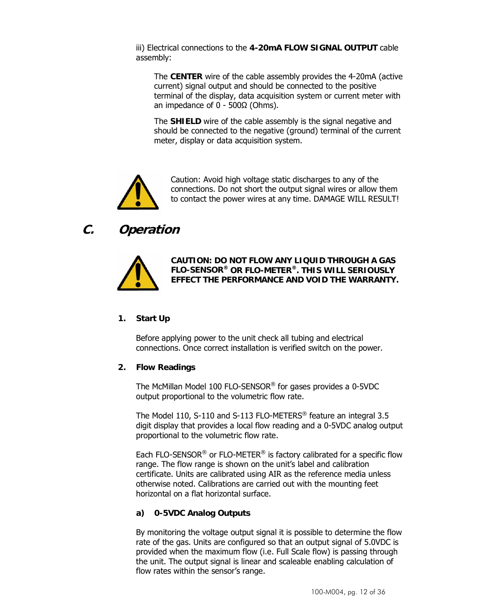iii) Electrical connections to the **4-20mA FLOW SIGNAL OUTPUT** cable assembly:

The **CENTER** wire of the cable assembly provides the 4-20mA (active current) signal output and should be connected to the positive terminal of the display, data acquisition system or current meter with an impedance of  $0 - 500Ω$  (Ohms).

The **SHIELD** wire of the cable assembly is the signal negative and should be connected to the negative (ground) terminal of the current meter, display or data acquisition system.



Caution: Avoid high voltage static discharges to any of the connections. Do not short the output signal wires or allow them to contact the power wires at any time. DAMAGE WILL RESULT!

## **C. Operation**



**CAUTION: DO NOT FLOW ANY LIQUID THROUGH A GAS FLO-SENSOR® OR FLO-METER®. THIS WILL SERIOUSLY EFFECT THE PERFORMANCE AND VOID THE WARRANTY.** 

### **1. Start Up**

Before applying power to the unit check all tubing and electrical connections. Once correct installation is verified switch on the power.

#### **2. Flow Readings**

The McMillan Model 100 FLO-SENSOR® for gases provides a 0-5VDC output proportional to the volumetric flow rate.

The Model 110, S-110 and S-113 FLO-METERS® feature an integral 3.5 digit display that provides a local flow reading and a 0-5VDC analog output proportional to the volumetric flow rate.

Each FLO-SENSOR<sup>®</sup> or FLO-METER<sup>®</sup> is factory calibrated for a specific flow range. The flow range is shown on the unit's label and calibration certificate. Units are calibrated using AIR as the reference media unless otherwise noted. Calibrations are carried out with the mounting feet horizontal on a flat horizontal surface.

### **a) 0-5VDC Analog Outputs**

By monitoring the voltage output signal it is possible to determine the flow rate of the gas. Units are configured so that an output signal of 5.0VDC is provided when the maximum flow (i.e. Full Scale flow) is passing through the unit. The output signal is linear and scaleable enabling calculation of flow rates within the sensor's range.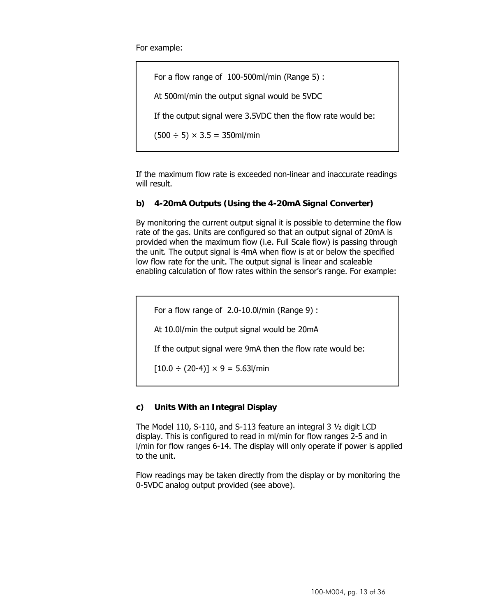For example:

For a flow range of 100-500ml/min (Range 5) : At 500ml/min the output signal would be 5VDC If the output signal were 3.5VDC then the flow rate would be:  $(500 \div 5) \times 3.5 = 350$ ml/min

If the maximum flow rate is exceeded non-linear and inaccurate readings will result.

#### **b) 4-20mA Outputs (Using the 4-20mA Signal Converter)**

By monitoring the current output signal it is possible to determine the flow rate of the gas. Units are configured so that an output signal of 20mA is provided when the maximum flow (i.e. Full Scale flow) is passing through the unit. The output signal is 4mA when flow is at or below the specified low flow rate for the unit. The output signal is linear and scaleable enabling calculation of flow rates within the sensor's range. For example:

For a flow range of 2.0-10.0l/min (Range 9) :

At 10.0l/min the output signal would be 20mA

If the output signal were 9mA then the flow rate would be:

 $[10.0 \div (20-4)] \times 9 = 5.63$ l/min

#### **c) Units With an Integral Display**

The Model 110, S-110, and S-113 feature an integral 3 ½ digit LCD display. This is configured to read in ml/min for flow ranges 2-5 and in l/min for flow ranges 6-14. The display will only operate if power is applied to the unit.

Flow readings may be taken directly from the display or by monitoring the 0-5VDC analog output provided (see above).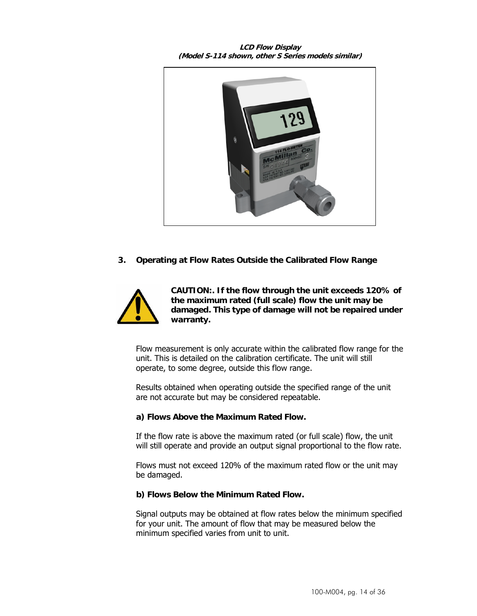**LCD Flow Display (Model S-114 shown, other S Series models similar)** 



**3. Operating at Flow Rates Outside the Calibrated Flow Range** 



**CAUTION:. If the flow through the unit exceeds 120% of the maximum rated (full scale) flow the unit may be damaged. This type of damage will not be repaired under warranty.** 

Flow measurement is only accurate within the calibrated flow range for the unit. This is detailed on the calibration certificate. The unit will still operate, to some degree, outside this flow range.

Results obtained when operating outside the specified range of the unit are not accurate but may be considered repeatable.

#### **a) Flows Above the Maximum Rated Flow.**

If the flow rate is above the maximum rated (or full scale) flow, the unit will still operate and provide an output signal proportional to the flow rate.

Flows must not exceed 120% of the maximum rated flow or the unit may be damaged.

#### **b) Flows Below the Minimum Rated Flow.**

Signal outputs may be obtained at flow rates below the minimum specified for your unit. The amount of flow that may be measured below the minimum specified varies from unit to unit.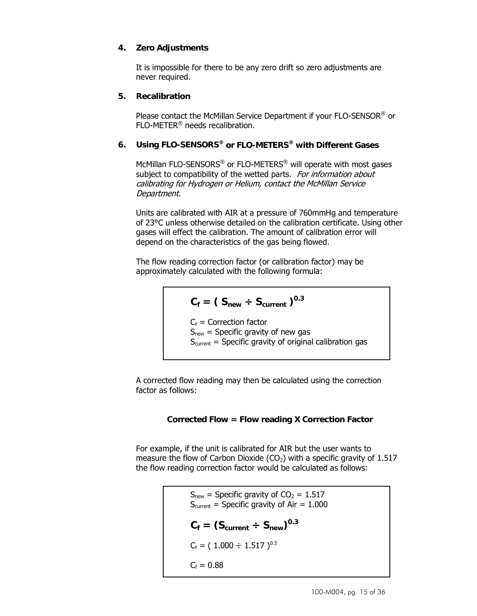### **4. Zero Adjustments**

It is impossible for there to be any zero drift so zero adjustments are never required.

#### **5. Recalibration**

Please contact the McMillan Service Department if your FLO-SENSOR® or FLO-METER® needs recalibration.

### **6. Using FLO-SENSORS® or FLO-METERS® with Different Gases**

McMillan FLO-SENSORS® or FLO-METERS® will operate with most gases subject to compatibility of the wetted parts. For information about calibrating for Hydrogen or Helium, contact the McMillan Service Department.

Units are calibrated with AIR at a pressure of 760mmHg and temperature of 23°C unless otherwise detailed on the calibration certificate. Using other gases will effect the calibration. The amount of calibration error will depend on the characteristics of the gas being flowed.

The flow reading correction factor (or calibration factor) may be approximately calculated with the following formula:

$$
C_f = (S_{new} \div S_{current})^{0.3}
$$

 $C_f$  = Correction factor  $S<sub>new</sub>$  = Specific gravity of new gas  $S<sub>current</sub>$  = Specific gravity of original calibration gas

A corrected flow reading may then be calculated using the correction factor as follows:

### **Corrected Flow = Flow reading X Correction Factor**

For example, if the unit is calibrated for AIR but the user wants to measure the flow of Carbon Dioxide  $(CO<sub>2</sub>)$  with a specific gravity of 1.517 the flow reading correction factor would be calculated as follows:

```
S_{new} = Specific gravity of CO<sub>2</sub> = 1.517
S<sub>current</sub> = Specific gravity of Air = 1.000
C_f = (S_{\text{current}} \div S_{\text{new}})^{0.3}C_f = (1.000 \div 1.517)^{0.3}C_f = 0.88
```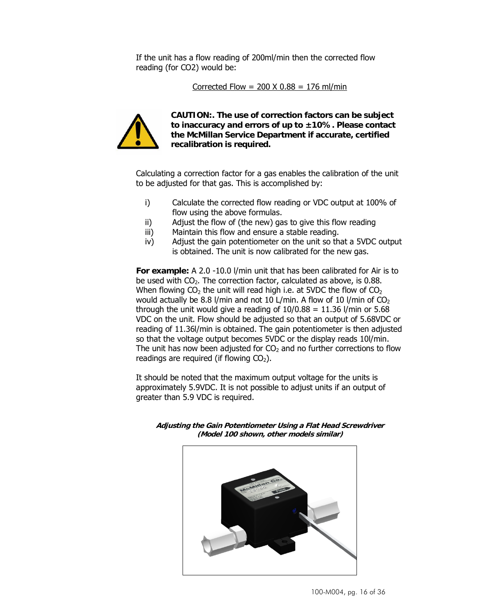If the unit has a flow reading of 200ml/min then the corrected flow reading (for CO2) would be:

Corrected Flow =  $200 \times 0.88 = 176$  ml/min



**CAUTION:. The use of correction factors can be subject to inaccuracy and errors of up to ±10%. Please contact the McMillan Service Department if accurate, certified recalibration is required.** 

Calculating a correction factor for a gas enables the calibration of the unit to be adjusted for that gas. This is accomplished by:

- i) Calculate the corrected flow reading or VDC output at 100% of flow using the above formulas.
- ii) Adjust the flow of (the new) gas to give this flow reading
- iii) Maintain this flow and ensure a stable reading.
- iv) Adjust the gain potentiometer on the unit so that a 5VDC output is obtained. The unit is now calibrated for the new gas.

**For example:** A 2.0 -10.0 l/min unit that has been calibrated for Air is to be used with  $CO<sub>2</sub>$ . The correction factor, calculated as above, is 0.88. When flowing  $CO<sub>2</sub>$  the unit will read high i.e. at 5VDC the flow of  $CO<sub>2</sub>$ would actually be 8.8 l/min and not 10 L/min. A flow of 10 l/min of  $CO<sub>2</sub>$ through the unit would give a reading of  $10/0.88 = 11.36$  l/min or 5.68 VDC on the unit. Flow should be adjusted so that an output of 5.68VDC or reading of 11.36l/min is obtained. The gain potentiometer is then adjusted so that the voltage output becomes 5VDC or the display reads 10/min. The unit has now been adjusted for  $CO<sub>2</sub>$  and no further corrections to flow readings are required (if flowing  $CO<sub>2</sub>$ ).

It should be noted that the maximum output voltage for the units is approximately 5.9VDC. It is not possible to adjust units if an output of greater than 5.9 VDC is required.



**Adjusting the Gain Potentiometer Using a Flat Head Screwdriver (Model 100 shown, other models similar)**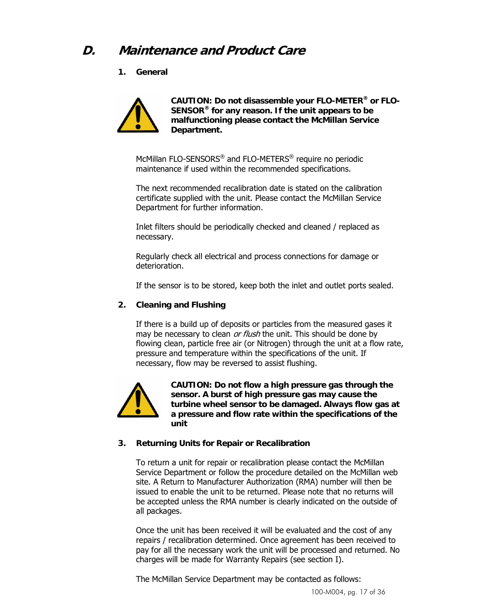## **D. Maintenance and Product Care**

**1. General** 



**CAUTION: Do not disassemble your FLO-METER® or FLO-SENSOR® for any reason. If the unit appears to be malfunctioning please contact the McMillan Service Department.** 

McMillan FLO-SENSORS® and FLO-METERS® require no periodic maintenance if used within the recommended specifications.

The next recommended recalibration date is stated on the calibration certificate supplied with the unit. Please contact the McMillan Service Department for further information.

Inlet filters should be periodically checked and cleaned / replaced as necessary.

Regularly check all electrical and process connections for damage or deterioration.

If the sensor is to be stored, keep both the inlet and outlet ports sealed.

### **2. Cleaning and Flushing**

If there is a build up of deposits or particles from the measured gases it may be necessary to clean or flush the unit. This should be done by flowing clean, particle free air (or Nitrogen) through the unit at a flow rate, pressure and temperature within the specifications of the unit. If necessary, flow may be reversed to assist flushing.



**CAUTION: Do not flow a high pressure gas through the sensor. A burst of high pressure gas may cause the turbine wheel sensor to be damaged. Always flow gas at a pressure and flow rate within the specifications of the unit** 

#### **3. Returning Units for Repair or Recalibration**

To return a unit for repair or recalibration please contact the McMillan Service Department or follow the procedure detailed on the McMillan web site. A Return to Manufacturer Authorization (RMA) number will then be issued to enable the unit to be returned. Please note that no returns will be accepted unless the RMA number is clearly indicated on the outside of all packages.

Once the unit has been received it will be evaluated and the cost of any repairs / recalibration determined. Once agreement has been received to pay for all the necessary work the unit will be processed and returned. No charges will be made for Warranty Repairs (see section I).

The McMillan Service Department may be contacted as follows: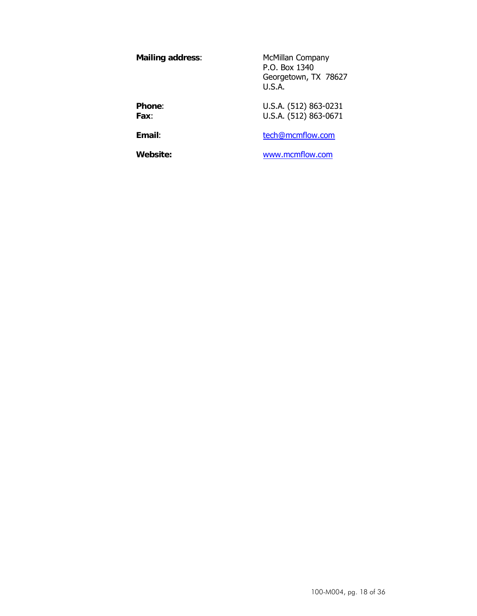**Mailing address:** McMillan Company P.O. Box 1340 Georgetown, TX 78627 U.S.A. **Phone:** U.S.A. (512) 863-0231

**Fax**: U.S.A. (512) 863-0671

**Email:** the tech@mcmflow.com

**Website:** www.mcmflow.com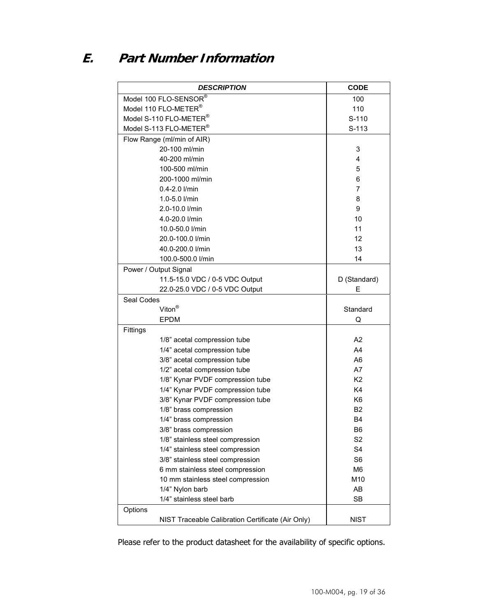## **E. Part Number Information**

| <b>DESCRIPTION</b>                                | <b>CODE</b>    |
|---------------------------------------------------|----------------|
| Model 100 FLO-SENSOR®                             | 100            |
| Model 110 FLO-METER®                              | 110            |
| Model S-110 FLO-METER®                            | $S-110$        |
| Model S-113 FLO-METER®                            | $S-113$        |
| Flow Range (ml/min of AIR)                        |                |
| 20-100 ml/min                                     | 3              |
| 40-200 ml/min                                     | 4              |
| 100-500 ml/min                                    | 5              |
| 200-1000 ml/min                                   | 6              |
| $0.4 - 2.0$ $l/min$                               | 7              |
| 1.0-5.0 l/min                                     | 8              |
| 2.0-10.0 l/min                                    | 9              |
| 4.0-20.0 l/min                                    | 10             |
| 10.0-50.0 l/min                                   | 11             |
| 20.0-100.0 l/min                                  | 12             |
| 40.0-200.0 l/min                                  | 13             |
| 100.0-500.0 l/min                                 | 14             |
| Power / Output Signal                             |                |
| 11.5-15.0 VDC / 0-5 VDC Output                    | D (Standard)   |
| 22.0-25.0 VDC / 0-5 VDC Output                    | F              |
| Seal Codes                                        |                |
| Viton <sup>®</sup>                                | Standard       |
| <b>EPDM</b>                                       | Q              |
| Fittings                                          |                |
| 1/8" acetal compression tube                      | A2             |
| 1/4" acetal compression tube                      | A4             |
| 3/8" acetal compression tube                      | A <sub>6</sub> |
| 1/2" acetal compression tube                      | A7             |
| 1/8" Kynar PVDF compression tube                  | K <sub>2</sub> |
| 1/4" Kynar PVDF compression tube                  | K4             |
| 3/8" Kynar PVDF compression tube                  | K <sub>6</sub> |
| 1/8" brass compression                            | <b>B2</b>      |
| 1/4" brass compression                            | <b>B4</b>      |
| 3/8" brass compression                            | B <sub>6</sub> |
| 1/8" stainless steel compression                  | S <sub>2</sub> |
| 1/4" stainless steel compression                  | S <sub>4</sub> |
| 3/8" stainless steel compression                  | S <sub>6</sub> |
| 6 mm stainless steel compression                  | M <sub>6</sub> |
| 10 mm stainless steel compression                 | M10            |
| 1/4" Nylon barb                                   | AB             |
| 1/4" stainless steel barb                         | <b>SB</b>      |
| Options                                           |                |
| NIST Traceable Calibration Certificate (Air Only) | <b>NIST</b>    |

Please refer to the product datasheet for the availability of specific options.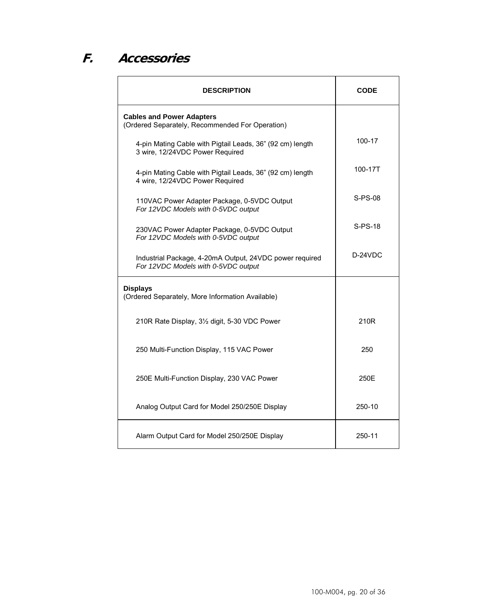## **F. Accessories**

| <b>DESCRIPTION</b>                                                                             | <b>CODE</b> |
|------------------------------------------------------------------------------------------------|-------------|
| <b>Cables and Power Adapters</b><br>(Ordered Separately, Recommended For Operation)            |             |
| 4-pin Mating Cable with Pigtail Leads, 36" (92 cm) length<br>3 wire, 12/24VDC Power Required   | 100-17      |
| 4-pin Mating Cable with Pigtail Leads, 36" (92 cm) length<br>4 wire, 12/24VDC Power Required   | 100-17T     |
| 110VAC Power Adapter Package, 0-5VDC Output<br>For 12VDC Models with 0-5VDC output             | $S-PS-08$   |
| 230VAC Power Adapter Package, 0-5VDC Output<br>For 12VDC Models with 0-5VDC output             | S-PS-18     |
| Industrial Package, 4-20mA Output, 24VDC power required<br>For 12VDC Models with 0-5VDC output | $D-24VDC$   |
| <b>Displays</b><br>(Ordered Separately, More Information Available)                            |             |
| 210R Rate Display, 3½ digit, 5-30 VDC Power                                                    | 210R        |
| 250 Multi-Function Display, 115 VAC Power                                                      | 250         |
| 250E Multi-Function Display, 230 VAC Power                                                     | 250E        |
| Analog Output Card for Model 250/250E Display                                                  | 250-10      |
| Alarm Output Card for Model 250/250E Display                                                   | 250-11      |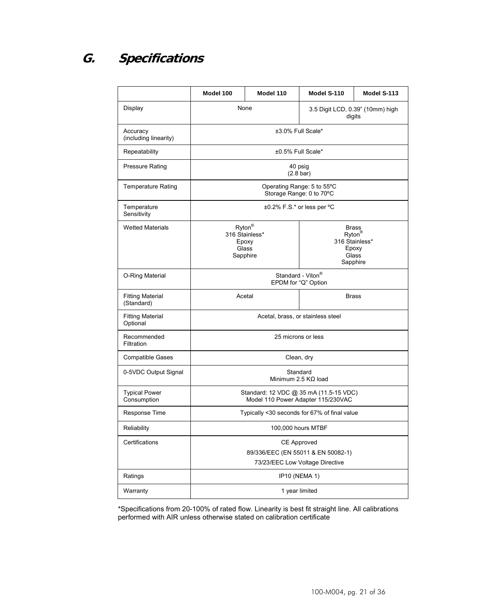## **G. Specifications**

|                                       | Model 100                                                                    | Model 110                                              | Model S-110                                                   | Model S-113 |
|---------------------------------------|------------------------------------------------------------------------------|--------------------------------------------------------|---------------------------------------------------------------|-------------|
| Display                               | None<br>3.5 Digit LCD, 0.39" (10mm) high<br>digits                           |                                                        |                                                               |             |
| Accuracy<br>(including linearity)     |                                                                              | ±3.0% Full Scale*                                      |                                                               |             |
| Repeatability                         |                                                                              | ±0.5% Full Scale*                                      |                                                               |             |
| <b>Pressure Rating</b>                |                                                                              | 40 psig<br>$(2.8 \text{ bar})$                         |                                                               |             |
| <b>Temperature Rating</b>             |                                                                              | Operating Range: 5 to 55°C<br>Storage Range: 0 to 70°C |                                                               |             |
| Temperature<br>Sensitivity            | ±0.2% F.S.* or less per °C                                                   |                                                        |                                                               |             |
| <b>Wetted Materials</b>               | Ryton®<br>316 Stainless*<br>Epoxy<br>Glass<br>Sapphire                       |                                                        | <b>Brass</b><br>Ryton®<br>316 Stainless*<br>Glass<br>Sapphire | Epoxy       |
| O-Ring Material                       | Standard - Viton®<br>EPDM for "Q" Option                                     |                                                        |                                                               |             |
| <b>Fitting Material</b><br>(Standard) | Acetal                                                                       |                                                        | <b>Brass</b>                                                  |             |
| <b>Fitting Material</b><br>Optional   | Acetal, brass, or stainless steel                                            |                                                        |                                                               |             |
| Recommended<br>Filtration             | 25 microns or less                                                           |                                                        |                                                               |             |
| <b>Compatible Gases</b>               | Clean, dry                                                                   |                                                        |                                                               |             |
| 0-5VDC Output Signal                  | Standard<br>Minimum 2.5 $K\Omega$ load                                       |                                                        |                                                               |             |
| <b>Typical Power</b><br>Consumption   | Standard: 12 VDC @ 35 mA (11.5-15 VDC)<br>Model 110 Power Adapter 115/230VAC |                                                        |                                                               |             |
| Response Time                         | Typically <30 seconds for 67% of final value                                 |                                                        |                                                               |             |
| Reliability                           | 100,000 hours MTBF                                                           |                                                        |                                                               |             |
| Certifications                        | CE Approved                                                                  |                                                        |                                                               |             |
|                                       | 89/336/EEC (EN 55011 & EN 50082-1)<br>73/23/EEC Low Voltage Directive        |                                                        |                                                               |             |
| Ratings                               | IP10 (NEMA 1)                                                                |                                                        |                                                               |             |
| Warranty                              | 1 year limited                                                               |                                                        |                                                               |             |
|                                       |                                                                              |                                                        |                                                               |             |

\*Specifications from 20-100% of rated flow. Linearity is best fit straight line. All calibrations performed with AIR unless otherwise stated on calibration certificate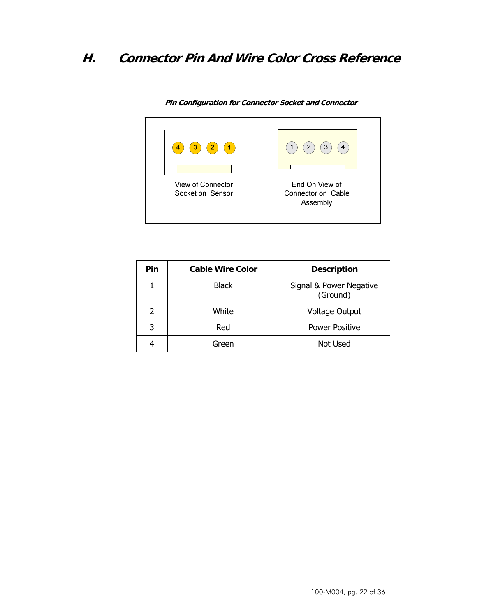## **H. Connector Pin And Wire Color Cross Reference**



**Pin Configuration for Connector Socket and Connector** 

| Pin | <b>Cable Wire Color</b> | <b>Description</b>                  |
|-----|-------------------------|-------------------------------------|
|     | <b>Black</b>            | Signal & Power Negative<br>(Ground) |
| 2   | White                   | <b>Voltage Output</b>               |
|     | Red                     | <b>Power Positive</b>               |
|     | Green                   | Not Used                            |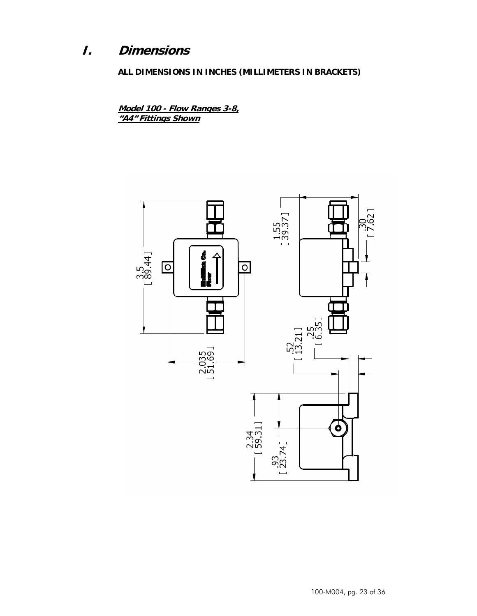## **I. Dimensions**

**ALL DIMENSIONS IN INCHES (MILLIMETERS IN BRACKETS)** 

**Model 100 - Flow Ranges 3-8, "A4" Fittings Shown**

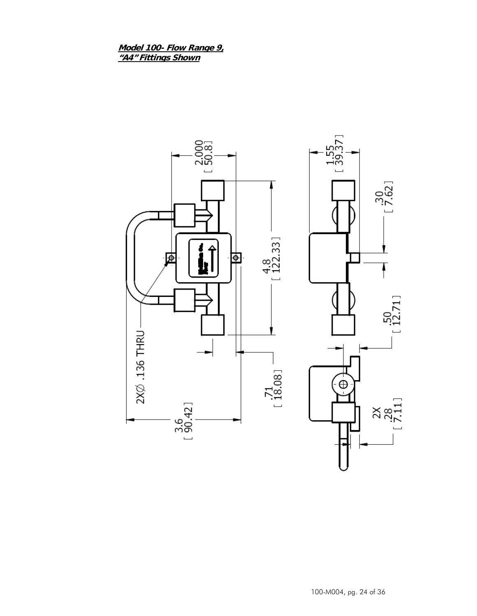Model 100- Flow Range 9,<br>"A4" Fittings Shown

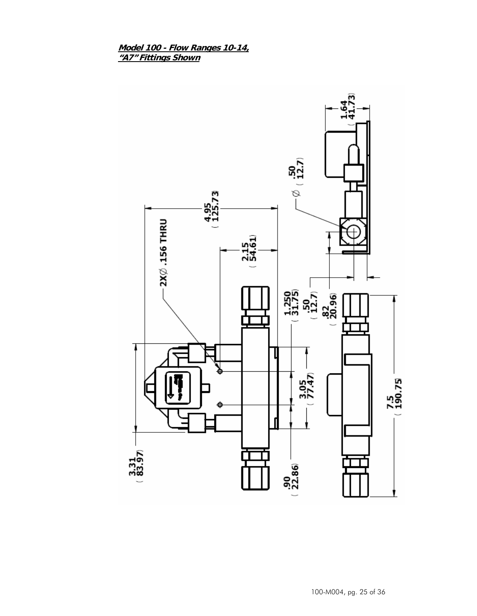Model 100 - Flow Ranges 10-14, "A7" Fittings Shown

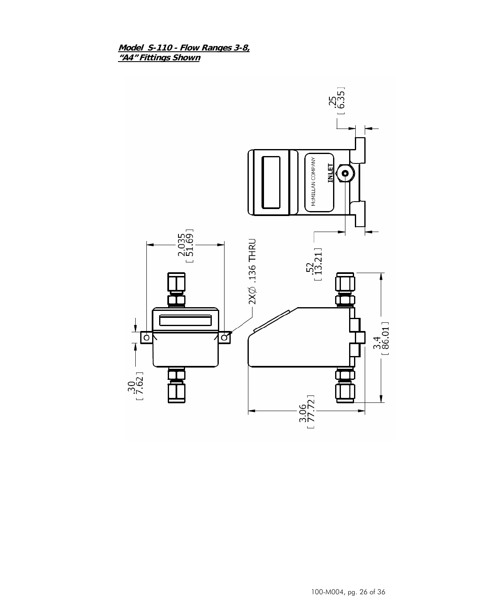Model S-110 - Flow Ranges 3-8,<br>"A4" Fittings Shown

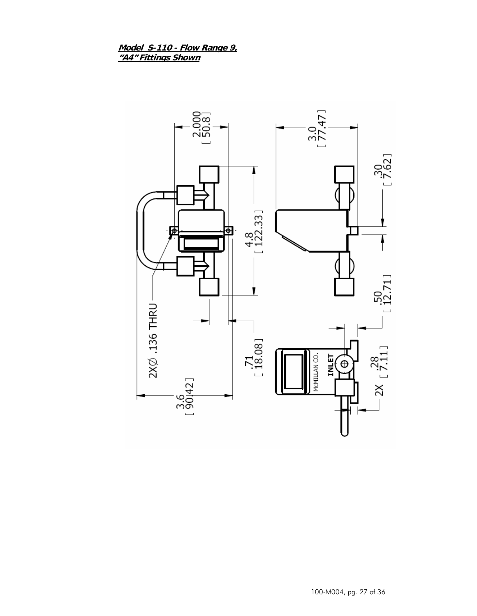Model S-110 - Flow Range 9,<br>"A4" Fittings Shown



100-M004, pg. 27 of 36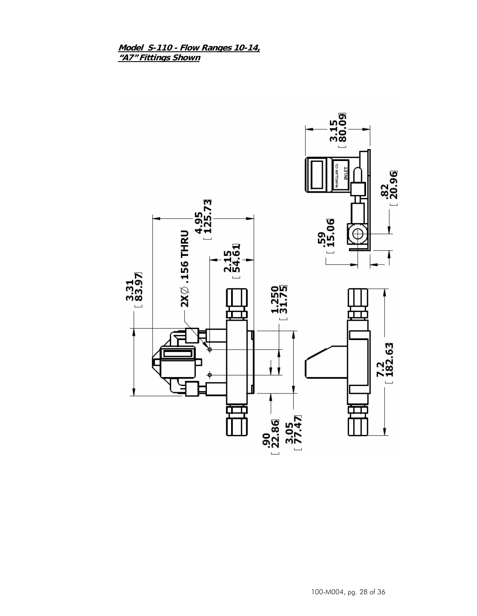Model S-110 - Flow Ranges 10-14,<br>"A7" Fittings Shown

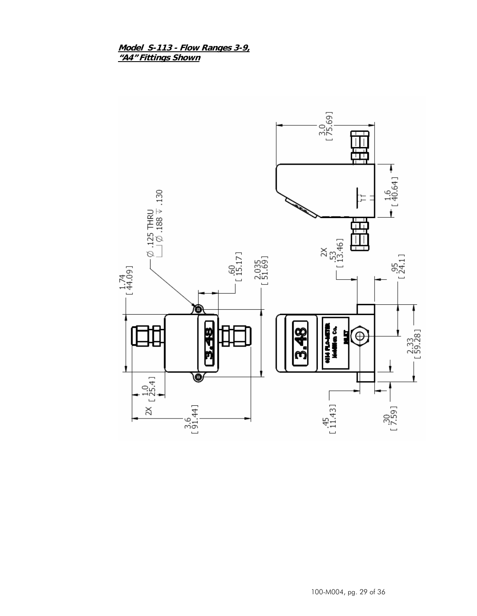Model S-113 - Flow Ranges 3-9, "A4" Fittings Shown

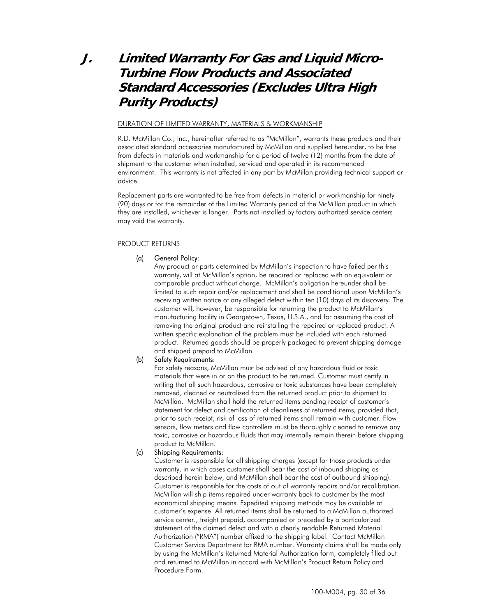## **J. Limited Warranty For Gas and Liquid Micro-Turbine Flow Products and Associated Standard Accessories (Excludes Ultra High Purity Products)**

#### DURATION OF LIMITED WARRANTY, MATERIALS & WORKMANSHIP

R.D. McMillan Co., Inc., hereinafter referred to as "McMillan", warrants these products and their associated standard accessories manufactured by McMillan and supplied hereunder, to be free from defects in materials and workmanship for a period of twelve (12) months from the date of shipment to the customer when installed, serviced and operated in its recommended environment. This warranty is not affected in any part by McMillan providing technical support or advice.

Replacement parts are warranted to be free from defects in material or workmanship for ninety (90) days or for the remainder of the Limited Warranty period of the McMillan product in which they are installed, whichever is longer. Parts not installed by factory authorized service centers may void the warranty.

#### PRODUCT RETURNS

#### (a) General Policy:

Any product or parts determined by McMillan's inspection to have failed per this warranty, will at McMillan's option, be repaired or replaced with an equivalent or comparable product without charge. McMillan's obligation hereunder shall be limited to such repair and/or replacement and shall be conditional upon McMillan's receiving written notice of any alleged defect within ten (10) days of its discovery. The customer will, however, be responsible for returning the product to McMillan's manufacturing facility in Georgetown, Texas, U.S.A., and for assuming the cost of removing the original product and reinstalling the repaired or replaced product. A written specific explanation of the problem must be included with each returned product. Returned goods should be properly packaged to prevent shipping damage and shipped prepaid to McMillan.

#### (b) Safety Requirements:

For safety reasons, McMillan must be advised of any hazardous fluid or toxic materials that were in or on the product to be returned. Customer must certify in writing that all such hazardous, corrosive or toxic substances have been completely removed, cleaned or neutralized from the returned product prior to shipment to McMillan. McMillan shall hold the returned items pending receipt of customer's statement for defect and certification of cleanliness of returned items, provided that, prior to such receipt, risk of loss of returned items shall remain with customer. Flow sensors, flow meters and flow controllers must be thoroughly cleaned to remove any toxic, corrosive or hazardous fluids that may internally remain therein before shipping product to McMillan.

#### (c) Shipping Requirements:

Customer is responsible for all shipping charges (except for those products under warranty, in which cases customer shall bear the cost of inbound shipping as described herein below, and McMillan shall bear the cost of outbound shipping). Customer is responsible for the costs of out of warranty repairs and/or recalibration. McMillan will ship items repaired under warranty back to customer by the most economical shipping means. Expedited shipping methods may be available at customer's expense. All returned items shall be returned to a McMillan authorized service center., freight prepaid, accompanied or preceded by a particularized statement of the claimed defect and with a clearly readable Returned Material Authorization ("RMA") number affixed to the shipping label. Contact McMillan Customer Service Department for RMA number. Warranty claims shall be made only by using the McMillan's Returned Material Authorization form, completely filled out and returned to McMillan in accord with McMillan's Product Return Policy and Procedure Form.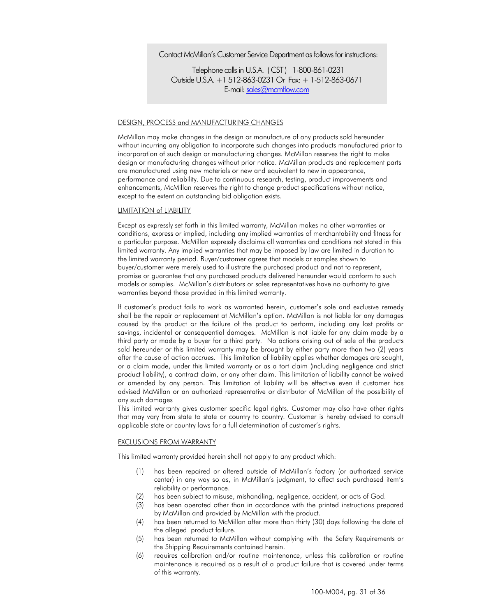Contact McMillan's Customer Service Department as follows for instructions:

Telephone calls in U.S.A. ( CST ) 1-800-861-0231 Outside U.S.A. +1 512-863-0231 Or Fax: + 1-512-863-0671 E-mail: sales@mcmflow.com

#### DESIGN, PROCESS and MANUFACTURING CHANGES

McMillan may make changes in the design or manufacture of any products sold hereunder without incurring any obligation to incorporate such changes into products manufactured prior to incorporation of such design or manufacturing changes. McMillan reserves the right to make design or manufacturing changes without prior notice. McMillan products and replacement parts are manufactured using new materials or new and equivalent to new in appearance, performance and reliability. Due to continuous research, testing, product improvements and enhancements, McMillan reserves the right to change product specifications without notice, except to the extent an outstanding bid obligation exists.

#### LIMITATION of LIABILITY

Except as expressly set forth in this limited warranty, McMillan makes no other warranties or conditions, express or implied, including any implied warranties of merchantability and fitness for a particular purpose. McMillan expressly disclaims all warranties and conditions not stated in this limited warranty. Any implied warranties that may be imposed by law are limited in duration to the limited warranty period. Buyer/customer agrees that models or samples shown to buyer/customer were merely used to illustrate the purchased product and not to represent, promise or guarantee that any purchased products delivered hereunder would conform to such models or samples. McMillan's distributors or sales representatives have no authority to give warranties beyond those provided in this limited warranty.

If customer's product fails to work as warranted herein, customer's sole and exclusive remedy shall be the repair or replacement at McMillan's option. McMillan is not liable for any damages caused by the product or the failure of the product to perform, including any lost profits or savings, incidental or consequential damages. McMillan is not liable for any claim made by a third party or made by a buyer for a third party. No actions arising out of sale of the products sold hereunder or this limited warranty may be brought by either party more than two (2) years after the cause of action accrues. This limitation of liability applies whether damages are sought, or a claim made, under this limited warranty or as a tort claim (including negligence and strict product liability), a contract claim, or any other claim. This limitation of liability cannot be waived or amended by any person. This limitation of liability will be effective even if customer has advised McMillan or an authorized representative or distributor of McMillan of the possibility of any such damages

This limited warranty gives customer specific legal rights. Customer may also have other rights that may vary from state to state or country to country. Customer is hereby advised to consult applicable state or country laws for a full determination of customer's rights.

#### EXCLUSIONS FROM WARRANTY

This limited warranty provided herein shall not apply to any product which:

- (1) has been repaired or altered outside of McMillan's factory (or authorized service center) in any way so as, in McMillan's judgment, to affect such purchased item's reliability or performance.
- (2) has been subject to misuse, mishandling, negligence, accident, or acts of God.
- (3) has been operated other than in accordance with the printed instructions prepared by McMillan and provided by McMillan with the product.
- (4) has been returned to McMillan after more than thirty (30) days following the date of the alleged product failure.
- (5) has been returned to McMillan without complying with the Safety Requirements or the Shipping Requirements contained herein.
- (6) requires calibration and/or routine maintenance, unless this calibration or routine maintenance is required as a result of a product failure that is covered under terms of this warranty.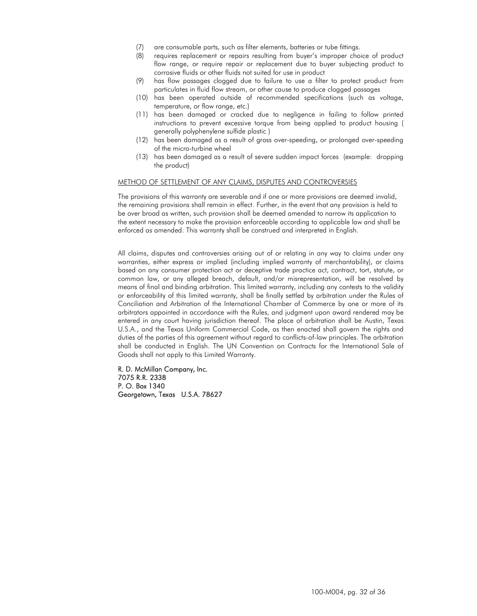- (7) are consumable parts, such as filter elements, batteries or tube fittings.
- (8) requires replacement or repairs resulting from buyer's improper choice of product flow range, or require repair or replacement due to buyer subjecting product to corrosive fluids or other fluids not suited for use in product
- (9) has flow passages clogged due to failure to use a filter to protect product from particulates in fluid flow stream, or other cause to produce clogged passages
- (10) has been operated outside of recommended specifications (such as voltage, temperature, or flow range, etc.)
- (11) has been damaged or cracked due to negligence in failing to follow printed instructions to prevent excessive torque from being applied to product housing ( generally polyphenylene sulfide plastic )
- (12) has been damaged as a result of gross over-speeding, or prolonged over-speeding of the micro-turbine wheel
- (13) has been damaged as a result of severe sudden impact forces (example: dropping the product)

#### METHOD OF SETTLEMENT OF ANY CLAIMS, DISPUTES AND CONTROVERSIES

The provisions of this warranty are severable and if one or more provisions are deemed invalid, the remaining provisions shall remain in effect. Further, in the event that any provision is held to be over broad as written, such provision shall be deemed amended to narrow its application to the extent necessary to make the provision enforceable according to applicable law and shall be enforced as amended. This warranty shall be construed and interpreted in English.

All claims, disputes and controversies arising out of or relating in any way to claims under any warranties, either express or implied (including implied warranty of merchantability), or claims based on any consumer protection act or deceptive trade practice act, contract, tort, statute, or common law, or any alleged breach, default, and/or misrepresentation, will be resolved by means of final and binding arbitration. This limited warranty, including any contests to the validity or enforceability of this limited warranty, shall be finally settled by arbitration under the Rules of Conciliation and Arbitration of the International Chamber of Commerce by one or more of its arbitrators appointed in accordance with the Rules, and judgment upon award rendered may be entered in any court having jurisdiction thereof. The place of arbitration shall be Austin, Texas U.S.A., and the Texas Uniform Commercial Code, as then enacted shall govern the rights and duties of the parties of this agreement without regard to conflicts-of-law principles. The arbitration shall be conducted in English. The UN Convention on Contracts for the International Sale of Goods shall not apply to this Limited Warranty.

R. D. McMillan Company, Inc. 7075 R.R. 2338 P. O. Box 1340 Georgetown, Texas U.S.A. 78627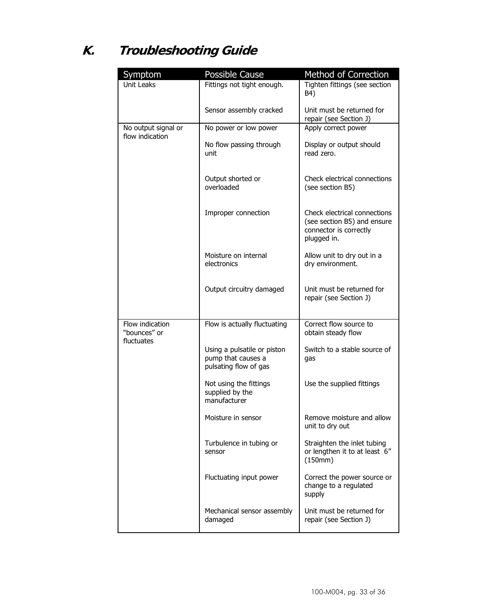# **K. Troubleshooting Guide**

| Symptom                                       | Possible Cause                                                             | Method of Correction                                                                                 |
|-----------------------------------------------|----------------------------------------------------------------------------|------------------------------------------------------------------------------------------------------|
| <b>Unit Leaks</b>                             | Fittings not tight enough.                                                 | Tighten fittings (see section<br>B4)                                                                 |
|                                               | Sensor assembly cracked                                                    | Unit must be returned for<br>repair (see Section J)                                                  |
| No output signal or                           | No power or low power                                                      | Apply correct power                                                                                  |
| flow indication                               | No flow passing through<br>unit                                            | Display or output should<br>read zero.                                                               |
|                                               | Output shorted or<br>overloaded                                            | Check electrical connections<br>(see section B5)                                                     |
|                                               | Improper connection                                                        | Check electrical connections<br>(see section B5) and ensure<br>connector is correctly<br>plugged in. |
|                                               | Moisture on internal<br>electronics                                        | Allow unit to dry out in a<br>dry environment.                                                       |
|                                               | Output circuitry damaged                                                   | Unit must be returned for<br>repair (see Section J)                                                  |
| Flow indication<br>"bounces" or<br>fluctuates | Flow is actually fluctuating                                               | Correct flow source to<br>obtain steady flow                                                         |
|                                               | Using a pulsatile or piston<br>pump that causes a<br>pulsating flow of gas | Switch to a stable source of<br>qas                                                                  |
|                                               | Not using the fittings<br>supplied by the<br>manufacturer                  | Use the supplied fittings                                                                            |
|                                               | Moisture in sensor                                                         | Remove moisture and allow<br>unit to dry out                                                         |
|                                               | Turbulence in tubing or<br>sensor                                          | Straighten the inlet tubing<br>or lengthen it to at least 6"<br>(150mm)                              |
|                                               | Fluctuating input power                                                    | Correct the power source or<br>change to a regulated<br>supply                                       |
|                                               | Mechanical sensor assembly<br>damaged                                      | Unit must be returned for<br>repair (see Section J)                                                  |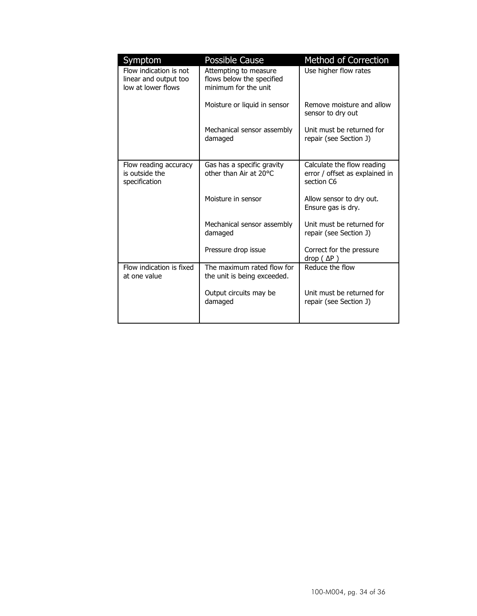| Symptom                                                               | <b>Possible Cause</b>                                                      | Method of Correction                                                       |
|-----------------------------------------------------------------------|----------------------------------------------------------------------------|----------------------------------------------------------------------------|
| Flow indication is not<br>linear and output too<br>low at lower flows | Attempting to measure<br>flows below the specified<br>minimum for the unit | Use higher flow rates                                                      |
|                                                                       | Moisture or liquid in sensor                                               | Remove moisture and allow<br>sensor to dry out                             |
|                                                                       | Mechanical sensor assembly<br>damaged                                      | Unit must be returned for<br>repair (see Section J)                        |
| Flow reading accuracy<br>is outside the<br>specification              | Gas has a specific gravity<br>other than Air at 20°C                       | Calculate the flow reading<br>error / offset as explained in<br>section C6 |
|                                                                       | Moisture in sensor                                                         | Allow sensor to dry out.<br>Ensure gas is dry.                             |
|                                                                       | Mechanical sensor assembly<br>damaged                                      | Unit must be returned for<br>repair (see Section J)                        |
|                                                                       | Pressure drop issue                                                        | Correct for the pressure<br>drop $(\Delta P)$                              |
| Flow indication is fixed<br>at one value                              | The maximum rated flow for<br>the unit is being exceeded.                  | Reduce the flow                                                            |
|                                                                       | Output circuits may be<br>damaged                                          | Unit must be returned for<br>repair (see Section J)                        |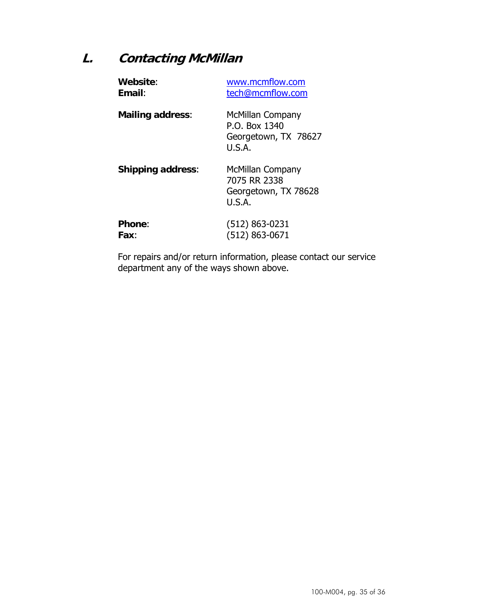## **L. Contacting McMillan**

| Website:                 | www.mcmflow.com                                                     |
|--------------------------|---------------------------------------------------------------------|
| Email:                   | tech@mcmflow.com                                                    |
| <b>Mailing address:</b>  | McMillan Company<br>P.O. Box 1340<br>Georgetown, TX 78627<br>U.S.A. |
| <b>Shipping address:</b> | McMillan Company<br>7075 RR 2338<br>Georgetown, TX 78628<br>U.S.A.  |
| <b>Phone:</b>            | (512) 863-0231                                                      |
| Fax:                     | $(512) 863 - 0671$                                                  |

For repairs and/or return information, please contact our service department any of the ways shown above.